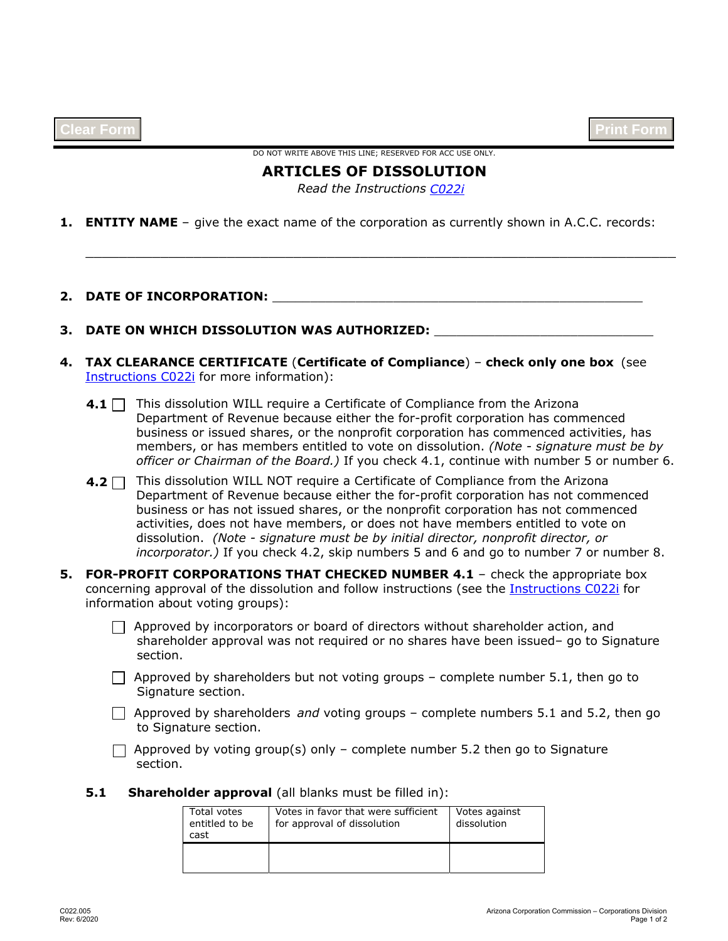DO NOT WRITE ABOVE THIS LINE; RESERVED FOR ACC USE ONLY.

# **ARTICLES OF DISSOLUTION**

*[C022i](http://azcc.gov/docs/default-source/corps-files/instructions/c022i-instructions-articles-of-dissolution.pdf?sfvrsn=616e531a_2)  Read the Instructions*

\_\_\_\_\_\_\_\_\_\_\_\_\_\_\_\_\_\_\_\_\_\_\_\_\_\_\_\_\_\_\_\_\_\_\_\_\_\_\_\_\_\_\_\_\_\_\_\_\_\_\_\_\_\_\_\_\_\_\_\_\_\_\_\_\_\_\_\_\_\_\_

**1. ENTITY NAME** – give the exact name of the corporation as currently shown in A.C.C. records:

## **2. DATE OF INCORPORATION:** \_\_\_\_\_\_\_\_\_\_\_\_\_\_\_\_\_\_\_\_\_\_\_\_\_\_\_\_\_\_\_\_\_\_\_\_\_\_\_\_\_\_\_\_\_\_\_\_\_

## **3. DATE ON WHICH DISSOLUTION WAS AUTHORIZED:** \_\_\_\_\_\_\_\_\_\_\_\_\_\_\_\_\_\_\_\_\_\_\_\_\_\_\_\_\_

- **4. TAX CLEARANCE CERTIFICATE** (**Certificate of Compliance**) – **check only one box** (see [Instructions C022i](http://azcc.gov/docs/default-source/corps-files/instructions/c022i-instructions-articles-of-dissolution.pdf?sfvrsn=616e531a_2) for more information):
	- **4.1** This dissolution WILL require a Certificate of Compliance from the Arizona Department of Revenue because either the for-profit corporation has commenced business or issued shares, or the nonprofit corporation has commenced activities, has members, or has members entitled to vote on dissolution. *(Note - signature must be by officer or Chairman of the Board.)* If you check 4.1, continue with number 5 or number 6.
	- **4.2** □ This dissolution WILL NOT require a Certificate of Compliance from the Arizona Department of Revenue because either the for-profit corporation has not commenced business or has not issued shares, or the nonprofit corporation has not commenced activities, does not have members, or does not have members entitled to vote on dissolution. *(Note - signature must be by initial director, nonprofit director, or incorporator.)* If you check 4.2, skip numbers 5 and 6 and go to number 7 or number 8.
- **5. FOR-PROFIT CORPORATIONS THAT CHECKED NUMBER 4.1**  check the appropriate box concerning approval of the dissolution and follow instructions (see the [Instructions C022i](http://azcc.gov/docs/default-source/corps-files/instructions/c022i-instructions-articles-of-dissolution.pdf?sfvrsn=616e531a_2) for information about voting groups):
	- $\Box$  Approved by incorporators or board of directors without shareholder action, and shareholder approval was not required or no shares have been issued– go to Signature section.
	- $\Box$  Approved by shareholders but not voting groups complete number 5.1, then go to Signature section.
	- $\Box$  Approved by shareholders *and* voting groups complete numbers 5.1 and 5.2, then go to Signature section.
	- $\Box$  Approved by voting group(s) only complete number 5.2 then go to Signature section.

#### **5.1 Shareholder approval** (all blanks must be filled in):

| Total votes<br>entitled to be<br>cast | Votes in favor that were sufficient<br>for approval of dissolution | Votes against<br>dissolution |
|---------------------------------------|--------------------------------------------------------------------|------------------------------|
|                                       |                                                                    |                              |